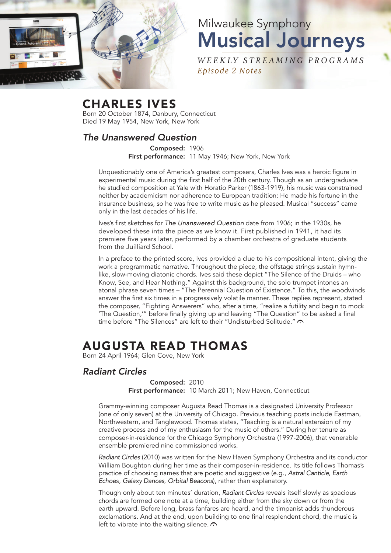

# Milwaukee Symphony Musical Journeys

*W E E K LY ST R E A M I NG P RO G R A M S Episode 2 Notes*

## CHARLES IVES

Born 20 October 1874, Danbury, Connecticut Died 19 May 1954, New York, New York

### *The Unanswered Question*

Composed: 1906 First performance: 11 May 1946; New York, New York

Unquestionably one of America's greatest composers, Charles Ives was a heroic figure in experimental music during the first half of the 20th century. Though as an undergraduate he studied composition at Yale with Horatio Parker (1863-1919), his music was constrained neither by academicism nor adherence to European tradition: He made his fortune in the insurance business, so he was free to write music as he pleased. Musical "success" came only in the last decades of his life.

Ives's first sketches for *The Unanswered Question* date from 1906; in the 1930s, he developed these into the piece as we know it. First published in 1941, it had its premiere five years later, performed by a chamber orchestra of graduate students from the Juilliard School.

In a preface to the printed score, Ives provided a clue to his compositional intent, giving the work a programmatic narrative. Throughout the piece, the offstage strings sustain hymnlike, slow-moving diatonic chords. Ives said these depict "The Silence of the Druids – who Know, See, and Hear Nothing." Against this background, the solo trumpet intones an atonal phrase seven times – "The Perennial Question of Existence." To this, the woodwinds answer the first six times in a progressively volatile manner. These replies represent, stated the composer, "Fighting Answerers" who, after a time, "realize a futility and begin to mock 'The Question,'" before finally giving up and leaving "The Question" to be asked a final time before "The Silences" are left to their "Undisturbed Solitude."  $\bigcap$ 

## AUGUSTA READ THOMAS

Born 24 April 1964; Glen Cove, New York

#### *Radiant Circles*

Composed: 2010 First performance: 10 March 2011; New Haven, Connecticut

Grammy-winning composer Augusta Read Thomas is a designated University Professor (one of only seven) at the University of Chicago. Previous teaching posts include Eastman, Northwestern, and Tanglewood. Thomas states, "Teaching is a natural extension of my creative process and of my enthusiasm for the music of others." During her tenure as composer-in-residence for the Chicago Symphony Orchestra (1997-2006), that venerable ensemble premiered nine commissioned works.

*Radiant Circles* (2010) was written for the New Haven Symphony Orchestra and its conductor William Boughton during her time as their composer-in-residence. Its title follows Thomas's practice of choosing names that are poetic and suggestive (e.g., *Astral Canticle*, *Earth Echoe*s, *Galaxy Dances*, *Orbital Beacons*), rather than explanatory.

Though only about ten minutes' duration, *Radiant Circles* reveals itself slowly as spacious chords are formed one note at a time, building either from the sky down or from the earth upward. Before long, brass fanfares are heard, and the timpanist adds thunderous exclamations. And at the end, upon building to one final resplendent chord, the music is left to vibrate into the waiting silence.  $\odot$